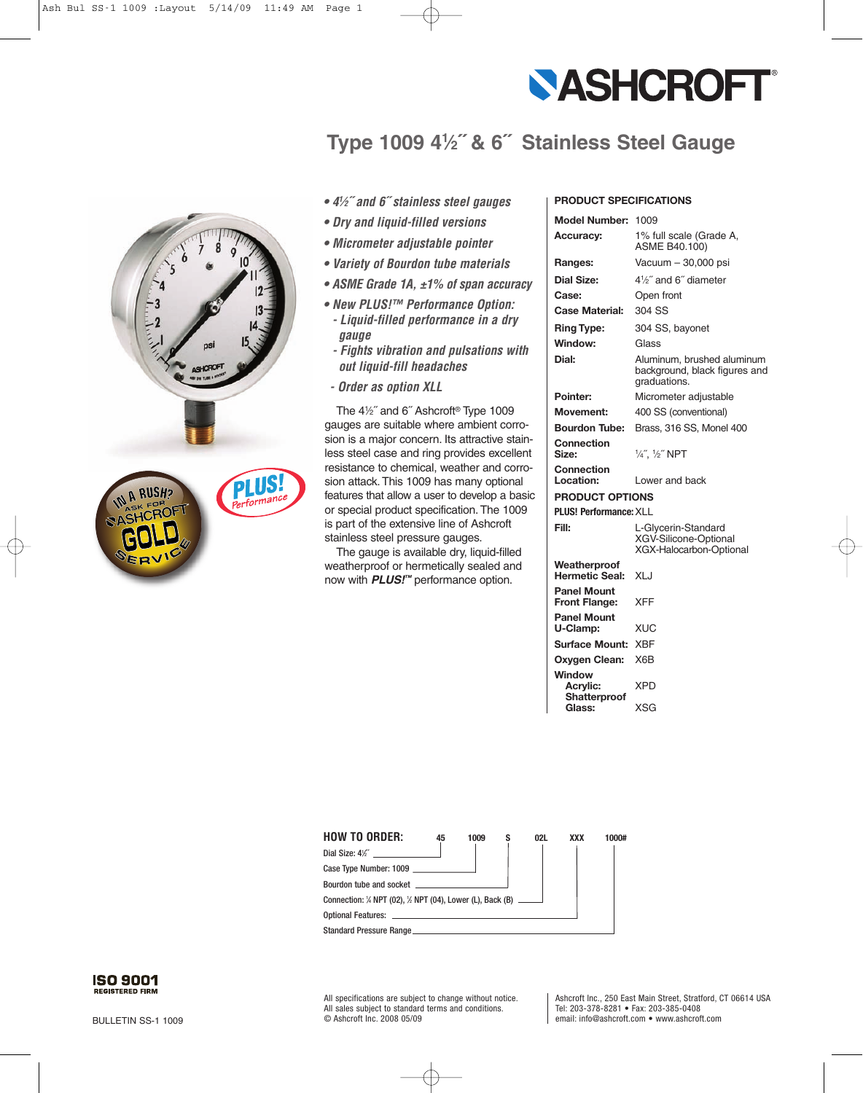

## **Type 1009 41 ⁄2˝ & 6˝ Stainless Steel Gauge**



- *41 ⁄2˝ and 6˝ stainless steel gauges*
- *Dry and liquid-filled versions*
- *Micrometer adjustable pointer*
- *Variety of Bourdon tube materials*
- *ASME Grade 1A, ±1% of span accuracy*
- *New PLUS!™ Performance Option:*
- *Liquid-filled performance in a dry gauge*
- *Fights vibration and pulsations with out liquid-fill headaches*
- *Order as option XLL*

The 41 ⁄2˝ and 6˝ Ashcroft® Type 1009 gauges are suitable where ambient corrosion is a major concern. Its attractive stainless steel case and ring provides excellent resistance to chemical, weather and corrosion attack. This 1009 has many optional features that allow a user to develop a basic or special product specification. The 1009 is part of the extensive line of Ashcroft stainless steel pressure gauges.

The gauge is available dry, liquid-filled weatherproof or hermetically sealed and now with *PLUS!™* performance option.

## **PRODUCT SPECIFICATIONS**

| <b>Model Number:</b>                       | 1009                                                                        |
|--------------------------------------------|-----------------------------------------------------------------------------|
| <b>Accuracy:</b>                           | 1% full scale (Grade A,<br>ASME B40.100)                                    |
| Ranges:                                    | Vacuum - 30,000 psi                                                         |
| Dial Size:                                 | 4 <sup>1</sup> / <sub>2</sub> " and 6" diameter                             |
| Case:                                      | Open front                                                                  |
| <b>Case Material:</b>                      | 304 SS                                                                      |
| <b>Ring Type:</b>                          | 304 SS, bayonet                                                             |
| Window:                                    | Glass                                                                       |
| Dial:                                      | Aluminum, brushed aluminum<br>background, black figures and<br>graduations. |
| Pointer:                                   | Micrometer adjustable                                                       |
| <b>Movement:</b>                           | 400 SS (conventional)                                                       |
| <b>Bourdon Tube:</b>                       | Brass, 316 SS, Monel 400                                                    |
| Connection<br>Size:                        | 1/4", 1/2" NPT                                                              |
| Connection<br>Location:                    | Lower and back                                                              |
| <b>PRODUCT OPTIONS</b>                     |                                                                             |
| <b>PLUS! Performance: XLL</b>              |                                                                             |
| Fill:                                      | L-Glycerin-Standard<br>XGV-Silicone-Optional<br>XGX-Halocarbon-Optional     |
| Weatherproof<br><b>Hermetic Seal:</b>      | XLJ                                                                         |
| <b>Panel Mount</b><br><b>Front Flange:</b> | XFF                                                                         |
| <b>Panel Mount</b><br>U-Clamp:             | XUC                                                                         |
| <b>Surface Mount:</b>                      | <b>XBF</b>                                                                  |
| <b>Oxygen Clean:</b>                       | X <sub>6</sub> B                                                            |
| Window<br><b>Acrylic:</b>                  | XPD                                                                         |
| Shatterproof<br>Glass:                     | XSG                                                                         |

| <b>HOW TO ORDER:</b>                                                                   | 45 | 1009 | s | 02L | XXX | 1000# |
|----------------------------------------------------------------------------------------|----|------|---|-----|-----|-------|
|                                                                                        |    |      |   |     |     |       |
| Case Type Number: 1009                                                                 |    |      |   |     |     |       |
| Bourdon tube and socket                                                                |    |      |   |     |     |       |
| Connection: $\frac{1}{2}$ NPT (02), $\frac{1}{2}$ NPT (04), Lower (L), Back (B) ______ |    |      |   |     |     |       |
|                                                                                        |    |      |   |     |     |       |
| Standard Pressure Range                                                                |    |      |   |     |     |       |



Ashcroft Inc., 250 East Main Street, Stratford, CT 06614 USA Tel: 203-378-8281 • Fax: 203-385-0408 email: info@ashcroft.com • www.ashcroft.com